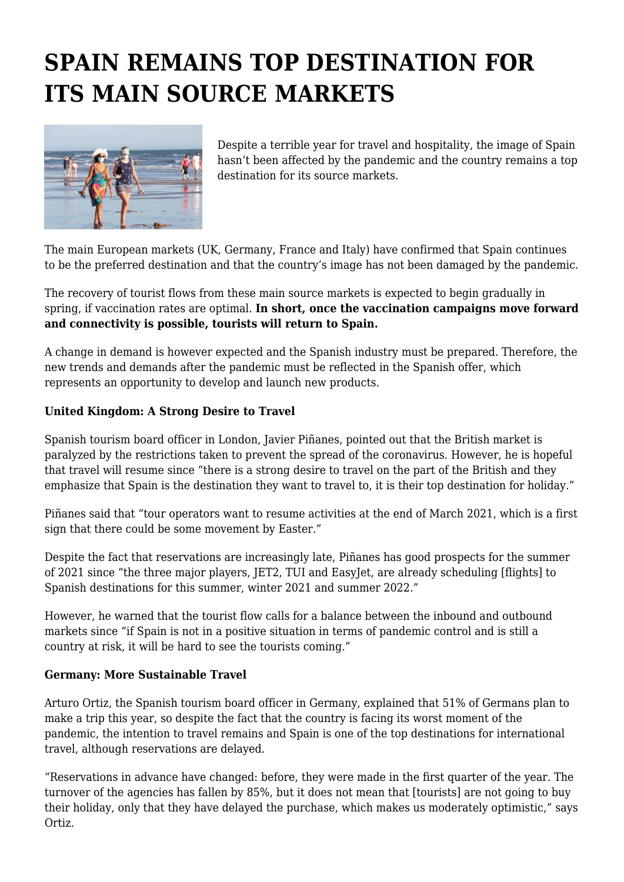# **SPAIN REMAINS TOP DESTINATION FOR ITS MAIN SOURCE MARKETS**



Despite a terrible year for travel and hospitality, the image of Spain hasn't been affected by the pandemic and the country remains a top destination for its source markets.

The main European markets (UK, Germany, France and Italy) have confirmed that Spain continues to be the preferred destination and that the country's image has not been damaged by the pandemic.

The recovery of tourist flows from these main source markets is expected to begin gradually in spring, if vaccination rates are optimal. **In short, once the vaccination campaigns move forward and connectivity is possible, tourists will return to Spain.**

A change in demand is however expected and the Spanish industry must be prepared. Therefore, the new trends and demands after the pandemic must be reflected in the Spanish offer, which represents an opportunity to develop and launch new products.

# **United Kingdom: A Strong Desire to Travel**

Spanish tourism board officer in London, Javier Piñanes, pointed out that the British market is paralyzed by the restrictions taken to prevent the spread of the coronavirus. However, he is hopeful that travel will resume since "there is a strong desire to travel on the part of the British and they emphasize that Spain is the destination they want to travel to, it is their top destination for holiday."

Piñanes said that "tour operators want to resume activities at the end of March 2021, which is a first sign that there could be some movement by Easter."

Despite the fact that reservations are increasingly late, Piñanes has good prospects for the summer of 2021 since "the three major players, JET2, TUI and EasyJet, are already scheduling [flights] to Spanish destinations for this summer, winter 2021 and summer 2022."

However, he warned that the tourist flow calls for a balance between the inbound and outbound markets since "if Spain is not in a positive situation in terms of pandemic control and is still a country at risk, it will be hard to see the tourists coming."

# **Germany: More Sustainable Travel**

Arturo Ortiz, the Spanish tourism board officer in Germany, explained that 51% of Germans plan to make a trip this year, so despite the fact that the country is facing its worst moment of the pandemic, the intention to travel remains and Spain is one of the top destinations for international travel, although reservations are delayed.

"Reservations in advance have changed: before, they were made in the first quarter of the year. The turnover of the agencies has fallen by 85%, but it does not mean that [tourists] are not going to buy their holiday, only that they have delayed the purchase, which makes us moderately optimistic," says Ortiz.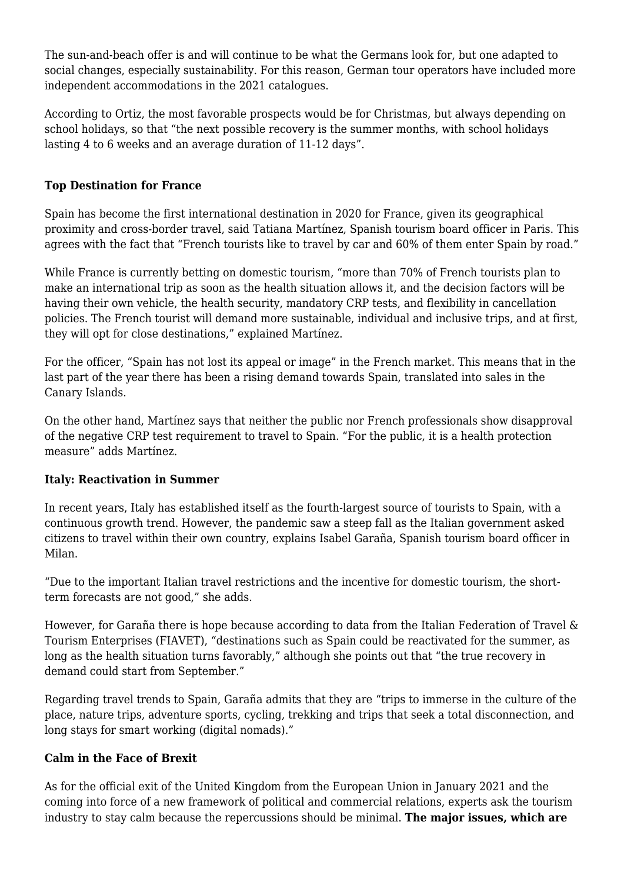The sun-and-beach offer is and will continue to be what the Germans look for, but one adapted to social changes, especially sustainability. For this reason, German tour operators have included more independent accommodations in the 2021 catalogues.

According to Ortiz, the most favorable prospects would be for Christmas, but always depending on school holidays, so that "the next possible recovery is the summer months, with school holidays lasting 4 to 6 weeks and an average duration of 11-12 days".

## **Top Destination for France**

Spain has become the first international destination in 2020 for France, given its geographical proximity and cross-border travel, said Tatiana Martínez, Spanish tourism board officer in Paris. This agrees with the fact that "French tourists like to travel by car and 60% of them enter Spain by road."

While France is currently betting on domestic tourism, "more than 70% of French tourists plan to make an international trip as soon as the health situation allows it, and the decision factors will be having their own vehicle, the health security, mandatory CRP tests, and flexibility in cancellation policies. The French tourist will demand more sustainable, individual and inclusive trips, and at first, they will opt for close destinations," explained Martínez.

For the officer, "Spain has not lost its appeal or image" in the French market. This means that in the last part of the year there has been a rising demand towards Spain, translated into sales in the Canary Islands.

On the other hand, Martínez says that neither the public nor French professionals show disapproval of the negative CRP test requirement to travel to Spain. "For the public, it is a health protection measure" adds Martínez.

## **Italy: Reactivation in Summer**

In recent years, Italy has established itself as the fourth-largest source of tourists to Spain, with a continuous growth trend. However, the pandemic saw a steep fall as the Italian government asked citizens to travel within their own country, explains Isabel Garaña, Spanish tourism board officer in Milan.

"Due to the important Italian travel restrictions and the incentive for domestic tourism, the shortterm forecasts are not good," she adds.

However, for Garaña there is hope because according to data from the Italian Federation of Travel & Tourism Enterprises (FIAVET), "destinations such as Spain could be reactivated for the summer, as long as the health situation turns favorably," although she points out that "the true recovery in demand could start from September."

Regarding travel trends to Spain, Garaña admits that they are "trips to immerse in the culture of the place, nature trips, adventure sports, cycling, trekking and trips that seek a total disconnection, and long stays for smart working (digital nomads)."

## **Calm in the Face of Brexit**

As for the official exit of the United Kingdom from the European Union in January 2021 and the coming into force of a new framework of political and commercial relations, experts ask the tourism industry to stay calm because the repercussions should be minimal. **The major issues, which are**